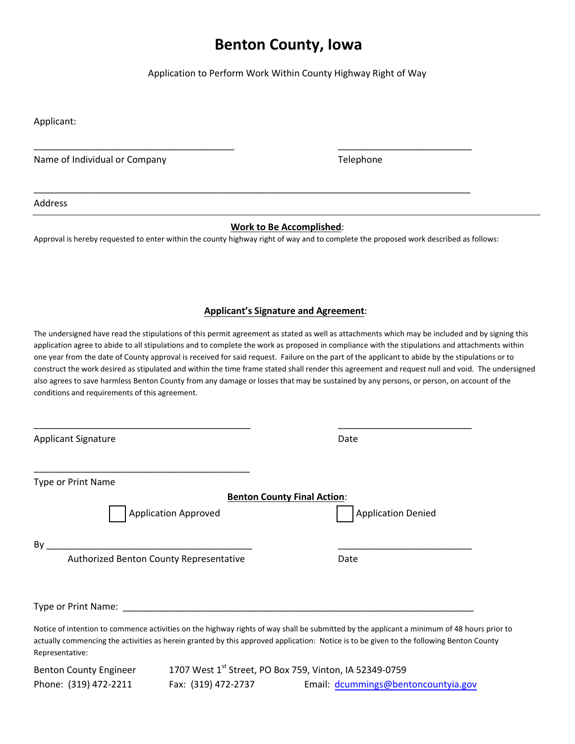# **Benton County, Iowa**

Application to Perform Work Within County Highway Right of Way

Applicant:

Name of Individual or Company Telephone

\_\_\_\_\_\_\_\_\_\_\_\_\_\_\_\_\_\_\_\_\_\_\_\_\_\_\_\_\_\_\_\_\_\_\_\_\_\_\_

\_\_\_\_\_\_\_\_\_\_\_\_\_\_\_\_\_\_\_\_\_\_\_\_\_\_

Address

## **Work to Be Accomplished**:

Approval is hereby requested to enter within the county highway right of way and to complete the proposed work described as follows:

\_\_\_\_\_\_\_\_\_\_\_\_\_\_\_\_\_\_\_\_\_\_\_\_\_\_\_\_\_\_\_\_\_\_\_\_\_\_\_\_\_\_\_\_\_\_\_\_\_\_\_\_\_\_\_\_\_\_\_\_\_\_\_\_\_\_\_\_\_\_\_\_\_\_\_\_\_\_\_\_\_\_\_\_\_

#### **Applicant's Signature and Agreement**:

The undersigned have read the stipulations of this permit agreement as stated as well as attachments which may be included and by signing this application agree to abide to all stipulations and to complete the work as proposed in compliance with the stipulations and attachments within one year from the date of County approval is received for said request. Failure on the part of the applicant to abide by the stipulations or to construct the work desired as stipulated and within the time frame stated shall render this agreement and request null and void. The undersigned also agrees to save harmless Benton County from any damage or losses that may be sustained by any persons, or person, on account of the conditions and requirements of this agreement.

| <b>Applicant Signature</b>              |                                                                                                                                                                                                                               | Date                                                                                                                                                                                                                                                                                  |
|-----------------------------------------|-------------------------------------------------------------------------------------------------------------------------------------------------------------------------------------------------------------------------------|---------------------------------------------------------------------------------------------------------------------------------------------------------------------------------------------------------------------------------------------------------------------------------------|
|                                         |                                                                                                                                                                                                                               |                                                                                                                                                                                                                                                                                       |
| <b>Type or Print Name</b>               |                                                                                                                                                                                                                               |                                                                                                                                                                                                                                                                                       |
|                                         |                                                                                                                                                                                                                               | <b>Benton County Final Action:</b>                                                                                                                                                                                                                                                    |
| <b>Application Approved</b>             |                                                                                                                                                                                                                               | <b>Application Denied</b>                                                                                                                                                                                                                                                             |
| By                                      |                                                                                                                                                                                                                               |                                                                                                                                                                                                                                                                                       |
| Authorized Benton County Representative |                                                                                                                                                                                                                               | Date                                                                                                                                                                                                                                                                                  |
|                                         | Type or Print Name: Name: Name of Alberta and Alberta and Alberta and Alberta and Alberta and Alberta and Alberta and Alberta and Alberta and Alberta and Alberta and Alberta and Alberta and Alberta and Alberta and Alberta |                                                                                                                                                                                                                                                                                       |
| Representative:                         |                                                                                                                                                                                                                               | Notice of intention to commence activities on the highway rights of way shall be submitted by the applicant a minimum of 48 hours prior to<br>actually commencing the activities as herein granted by this approved application: Notice is to be given to the following Benton County |
| <b>Benton County Engineer</b>           | 1707 West 1st Street, PO Box 759, Vinton, IA 52349-0759                                                                                                                                                                       |                                                                                                                                                                                                                                                                                       |
| Phone: (319) 472-2211                   | Fax: (319) 472-2737                                                                                                                                                                                                           | Email: dcummings@bentoncountyia.gov                                                                                                                                                                                                                                                   |